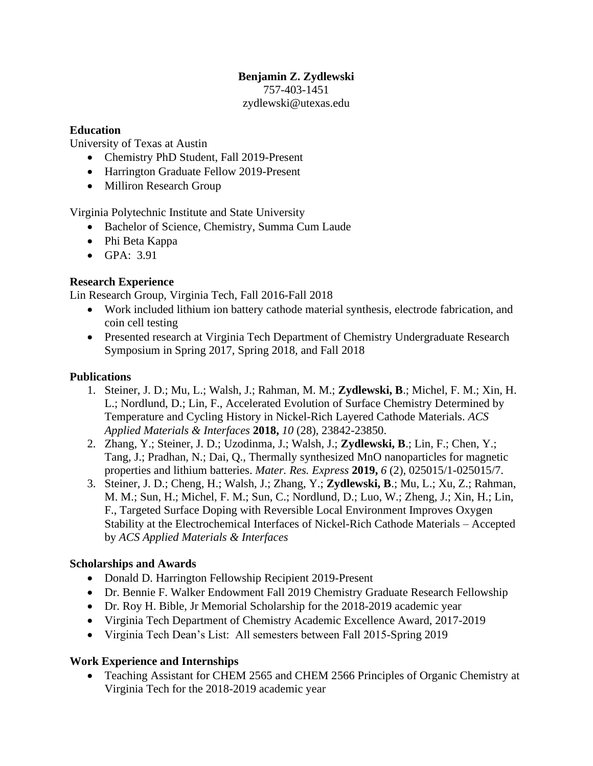# **Benjamin Z. Zydlewski**

757-403-1451 zydlewski@utexas.edu

## **Education**

University of Texas at Austin

- Chemistry PhD Student, Fall 2019-Present
- Harrington Graduate Fellow 2019-Present
- Milliron Research Group

Virginia Polytechnic Institute and State University

- Bachelor of Science, Chemistry, Summa Cum Laude
- Phi Beta Kappa
- GPA: 3.91

# **Research Experience**

Lin Research Group, Virginia Tech, Fall 2016-Fall 2018

- Work included lithium ion battery cathode material synthesis, electrode fabrication, and coin cell testing
- Presented research at Virginia Tech Department of Chemistry Undergraduate Research Symposium in Spring 2017, Spring 2018, and Fall 2018

#### **Publications**

- 1. Steiner, J. D.; Mu, L.; Walsh, J.; Rahman, M. M.; **Zydlewski, B**.; Michel, F. M.; Xin, H. L.; Nordlund, D.; Lin, F., Accelerated Evolution of Surface Chemistry Determined by Temperature and Cycling History in Nickel-Rich Layered Cathode Materials. *ACS Applied Materials & Interfaces* **2018,** *10* (28), 23842-23850.
- 2. Zhang, Y.; Steiner, J. D.; Uzodinma, J.; Walsh, J.; **Zydlewski, B**.; Lin, F.; Chen, Y.; Tang, J.; Pradhan, N.; Dai, Q., Thermally synthesized MnO nanoparticles for magnetic properties and lithium batteries. *Mater. Res. Express* **2019,** *6* (2), 025015/1-025015/7.
- 3. Steiner, J. D.; Cheng, H.; Walsh, J.; Zhang, Y.; **Zydlewski, B**.; Mu, L.; Xu, Z.; Rahman, M. M.; Sun, H.; Michel, F. M.; Sun, C.; Nordlund, D.; Luo, W.; Zheng, J.; Xin, H.; Lin, F., Targeted Surface Doping with Reversible Local Environment Improves Oxygen Stability at the Electrochemical Interfaces of Nickel-Rich Cathode Materials – Accepted by *ACS Applied Materials & Interfaces*

## **Scholarships and Awards**

- Donald D. Harrington Fellowship Recipient 2019-Present
- Dr. Bennie F. Walker Endowment Fall 2019 Chemistry Graduate Research Fellowship
- Dr. Roy H. Bible, Jr Memorial Scholarship for the 2018-2019 academic year
- Virginia Tech Department of Chemistry Academic Excellence Award, 2017-2019
- Virginia Tech Dean's List: All semesters between Fall 2015-Spring 2019

## **Work Experience and Internships**

• Teaching Assistant for CHEM 2565 and CHEM 2566 Principles of Organic Chemistry at Virginia Tech for the 2018-2019 academic year